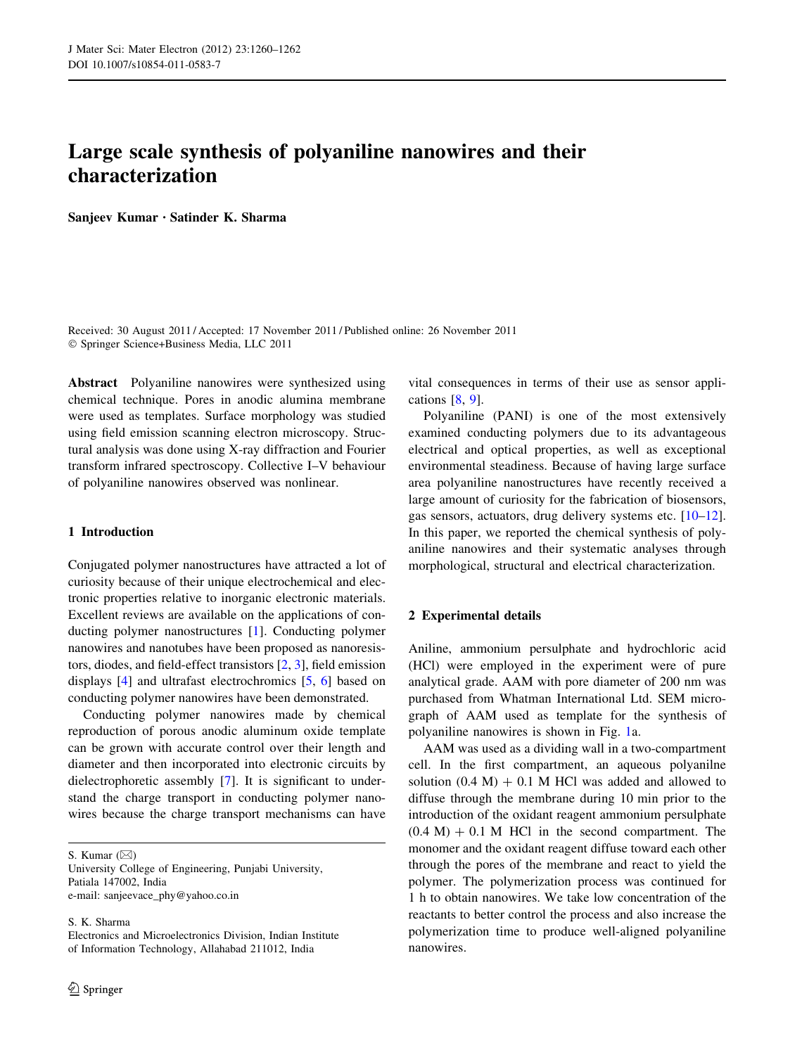# Large scale synthesis of polyaniline nanowires and their characterization

Sanjeev Kumar • Satinder K. Sharma

Received: 30 August 2011 / Accepted: 17 November 2011 / Published online: 26 November 2011 - Springer Science+Business Media, LLC 2011

Abstract Polyaniline nanowires were synthesized using chemical technique. Pores in anodic alumina membrane were used as templates. Surface morphology was studied using field emission scanning electron microscopy. Structural analysis was done using X-ray diffraction and Fourier transform infrared spectroscopy. Collective I–V behaviour of polyaniline nanowires observed was nonlinear.

# 1 Introduction

Conjugated polymer nanostructures have attracted a lot of curiosity because of their unique electrochemical and electronic properties relative to inorganic electronic materials. Excellent reviews are available on the applications of conducting polymer nanostructures [\[1](#page-2-0)]. Conducting polymer nanowires and nanotubes have been proposed as nanoresistors, diodes, and field-effect transistors [[2,](#page-2-0) [3\]](#page-2-0), field emission displays [[4\]](#page-2-0) and ultrafast electrochromics [\[5](#page-2-0), [6](#page-2-0)] based on conducting polymer nanowires have been demonstrated.

Conducting polymer nanowires made by chemical reproduction of porous anodic aluminum oxide template can be grown with accurate control over their length and diameter and then incorporated into electronic circuits by dielectrophoretic assembly [\[7](#page-2-0)]. It is significant to understand the charge transport in conducting polymer nanowires because the charge transport mechanisms can have

S. Kumar  $(\boxtimes)$ 

S. K. Sharma

vital consequences in terms of their use as sensor applications [\[8](#page-2-0), [9\]](#page-2-0).

Polyaniline (PANI) is one of the most extensively examined conducting polymers due to its advantageous electrical and optical properties, as well as exceptional environmental steadiness. Because of having large surface area polyaniline nanostructures have recently received a large amount of curiosity for the fabrication of biosensors, gas sensors, actuators, drug delivery systems etc. [\[10–12](#page-2-0)]. In this paper, we reported the chemical synthesis of polyaniline nanowires and their systematic analyses through morphological, structural and electrical characterization.

## 2 Experimental details

Aniline, ammonium persulphate and hydrochloric acid (HCl) were employed in the experiment were of pure analytical grade. AAM with pore diameter of 200 nm was purchased from Whatman International Ltd. SEM micrograph of AAM used as template for the synthesis of polyaniline nanowires is shown in Fig. [1](#page-1-0)a.

AAM was used as a dividing wall in a two-compartment cell. In the first compartment, an aqueous polyanilne solution  $(0.4 \text{ M}) + 0.1 \text{ M}$  HCl was added and allowed to diffuse through the membrane during 10 min prior to the introduction of the oxidant reagent ammonium persulphate  $(0.4 \text{ M}) + 0.1 \text{ M}$  HCl in the second compartment. The monomer and the oxidant reagent diffuse toward each other through the pores of the membrane and react to yield the polymer. The polymerization process was continued for 1 h to obtain nanowires. We take low concentration of the reactants to better control the process and also increase the polymerization time to produce well-aligned polyaniline nanowires.

University College of Engineering, Punjabi University, Patiala 147002, India e-mail: sanjeevace\_phy@yahoo.co.in

Electronics and Microelectronics Division, Indian Institute of Information Technology, Allahabad 211012, India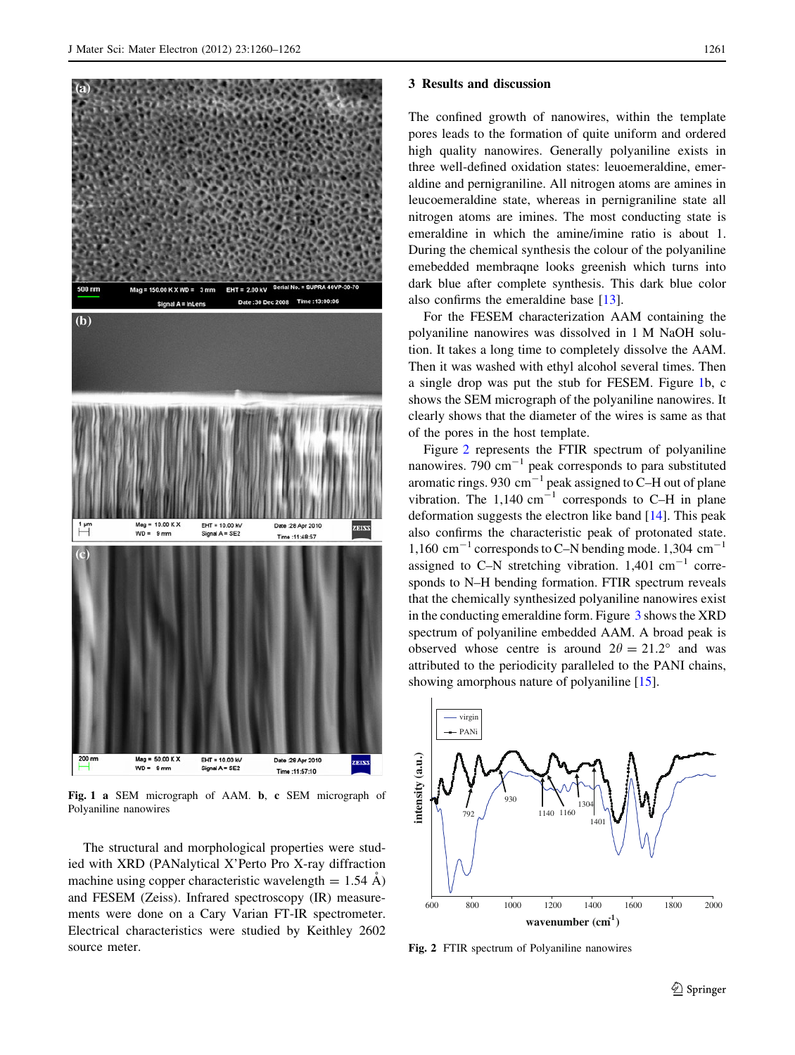<span id="page-1-0"></span>

Fig. 1 a SEM micrograph of AAM. b, c SEM micrograph of Polyaniline nanowires

The structural and morphological properties were studied with XRD (PANalytical X'Perto Pro X-ray diffraction machine using copper characteristic wavelength  $= 1.54$  Å) and FESEM (Zeiss). Infrared spectroscopy (IR) measurements were done on a Cary Varian FT-IR spectrometer. Electrical characteristics were studied by Keithley 2602 source meter.

#### 3 Results and discussion

The confined growth of nanowires, within the template pores leads to the formation of quite uniform and ordered high quality nanowires. Generally polyaniline exists in three well-defined oxidation states: leuoemeraldine, emeraldine and pernigraniline. All nitrogen atoms are amines in leucoemeraldine state, whereas in pernigraniline state all nitrogen atoms are imines. The most conducting state is emeraldine in which the amine/imine ratio is about 1. During the chemical synthesis the colour of the polyaniline emebedded membraqne looks greenish which turns into dark blue after complete synthesis. This dark blue color also confirms the emeraldine base [[13\]](#page-2-0).

For the FESEM characterization AAM containing the polyaniline nanowires was dissolved in 1 M NaOH solution. It takes a long time to completely dissolve the AAM. Then it was washed with ethyl alcohol several times. Then a single drop was put the stub for FESEM. Figure 1b, c shows the SEM micrograph of the polyaniline nanowires. It clearly shows that the diameter of the wires is same as that of the pores in the host template.

Figure 2 represents the FTIR spectrum of polyaniline nanowires. 790  $\text{cm}^{-1}$  peak corresponds to para substituted aromatic rings. 930  $\text{cm}^{-1}$  peak assigned to C–H out of plane vibration. The  $1,140 \text{ cm}^{-1}$  corresponds to C–H in plane deformation suggests the electron like band [[14\]](#page-2-0). This peak also confirms the characteristic peak of protonated state. 1,160 cm<sup>-1</sup> corresponds to C-N bending mode. 1,304 cm<sup>-1</sup> assigned to C–N stretching vibration.  $1,401 \text{ cm}^{-1}$  corresponds to N–H bending formation. FTIR spectrum reveals that the chemically synthesized polyaniline nanowires exist in the conducting emeraldine form. Figure [3](#page-2-0) shows the XRD spectrum of polyaniline embedded AAM. A broad peak is observed whose centre is around  $2\theta = 21.2^{\circ}$  and was attributed to the periodicity paralleled to the PANI chains, showing amorphous nature of polyaniline [[15\]](#page-2-0).



Fig. 2 FTIR spectrum of Polyaniline nanowires